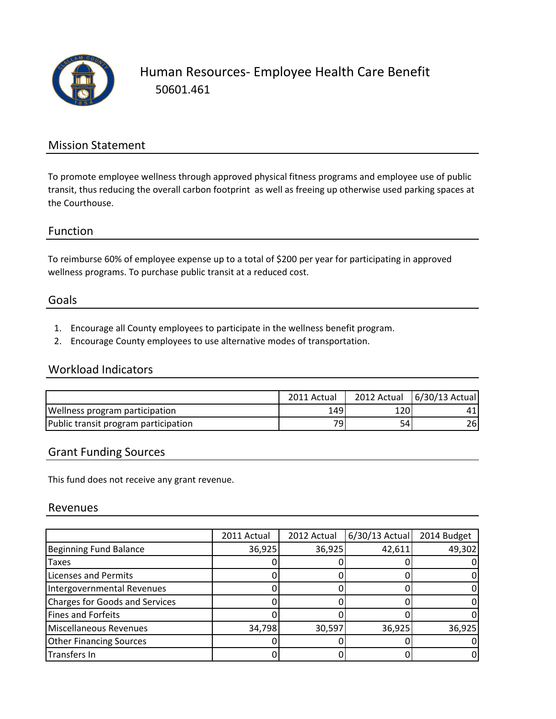

### Mission Statement

To promote employee wellness through approved physical fitness programs and employee use of public transit, thus reducing the overall carbon footprint as well as freeing up otherwise used parking spaces at the Courthouse.

#### Function

To reimburse 60% of employee expense up to a total of \$200 per year for participating in approved wellness programs. To purchase public transit at a reduced cost.

#### Goals

- 1. Encourage all County employees to participate in the wellness benefit program.
- 2. Encourage County employees to use alternative modes of transportation.

#### Workload Indicators

|                                      | 2011 Actual     | 2012 Actual | $6/30/13$ Actual |
|--------------------------------------|-----------------|-------------|------------------|
| Wellness program participation       | 1491            | 120'        | 41               |
| Public transit program participation | 79 <sub>1</sub> | 54          | 261              |

#### Grant Funding Sources

This fund does not receive any grant revenue.

#### Revenues

|                                | 2011 Actual | 2012 Actual | $6/30/13$ Actual | 2014 Budget |
|--------------------------------|-------------|-------------|------------------|-------------|
| Beginning Fund Balance         | 36,925      | 36,925      | 42,611           | 49,302      |
| <b>Taxes</b>                   |             |             |                  |             |
| Licenses and Permits           |             |             |                  |             |
| Intergovernmental Revenues     |             |             |                  |             |
| Charges for Goods and Services |             |             |                  |             |
| Fines and Forfeits             |             |             |                  |             |
| Miscellaneous Revenues         | 34,798      | 30,597      | 36,925           | 36,925      |
| <b>Other Financing Sources</b> |             |             |                  |             |
| Transfers In                   |             |             |                  |             |